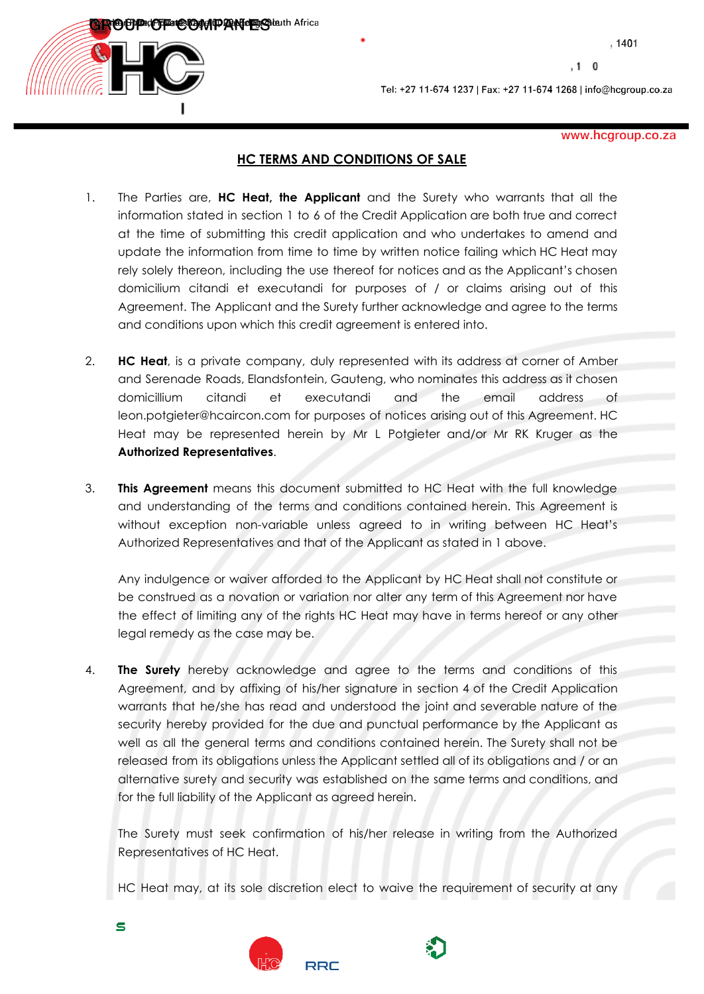

Tel: +27 11-674 1237 | Fax: +27 11-674 1268 | info@hcgroup.co.za

www.hcgroup.co.za

# **HC TERMS AND CONDITIONS OF SALE**

- 1. The Parties are, **HC Heat, the Applicant** and the Surety who warrants that all the information stated in section 1 to 6 of the Credit Application are both true and correct at the time of submitting this credit application and who undertakes to amend and update the information from time to time by written notice failing which HC Heat may rely solely thereon, including the use thereof for notices and as the Applicant's chosen domicilium citandi et executandi for purposes of / or claims arising out of this Agreement. The Applicant and the Surety further acknowledge and agree to the terms and conditions upon which this credit agreement is entered into.
- 2. **HC Heat**, is a private company, duly represented with its address at corner of Amber and Serenade Roads, Elandsfontein, Gauteng, who nominates this address as it chosen domicillium citandi et executandi and the email address of [leon.potgieter@hcaircon.com](mailto:leon.potgieter@hcaircon.com) for purposes of notices arising out of this Agreement. HC Heat may be represented herein by Mr L Potgieter and/or Mr RK Kruger as the **Authorized Representatives**.
- 3. **This Agreement** means this document submitted to HC Heat with the full knowledge and understanding of the terms and conditions contained herein. This Agreement is without exception non-variable unless agreed to in writing between HC Heat's Authorized Representatives and that of the Applicant as stated in 1 above.

Any indulgence or waiver afforded to the Applicant by HC Heat shall not constitute or be construed as a novation or variation nor alter any term of this Agreement nor have the effect of limiting any of the rights HC Heat may have in terms hereof or any other legal remedy as the case may be.

4. **The Surety** hereby acknowledge and agree to the terms and conditions of this Agreement, and by affixing of his/her signature in section 4 of the Credit Application warrants that he/she has read and understood the joint and severable nature of the security hereby provided for the due and punctual performance by the Applicant as well as all the general terms and conditions contained herein. The Surety shall not be released from its obligations unless the Applicant settled all of its obligations and / or an alternative surety and security was established on the same terms and conditions, and for the full liability of the Applicant as agreed herein.

The Surety must seek confirmation of his/her release in writing from the Authorized Representatives of HC Heat.

HC Heat may, at its sole discretion elect to waive the requirement of security at any



**RRC** 

S

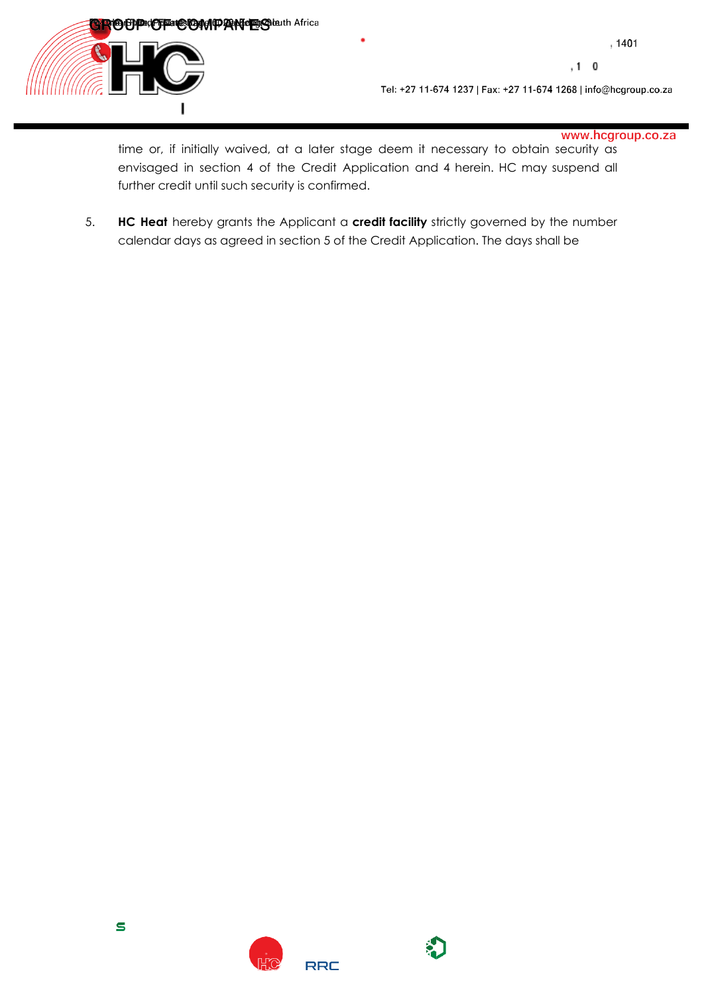

time or, if initially waived, at a later stage deem it necessary to obtain security as envisaged in section 4 of the Credit Application and 4 herein. HC may suspend all further credit until such security is confirmed.

5. **HC Heat** hereby grants the Applicant a **credit facility** strictly governed by the number calendar days as agreed in section 5 of the Credit Application. The days shall be



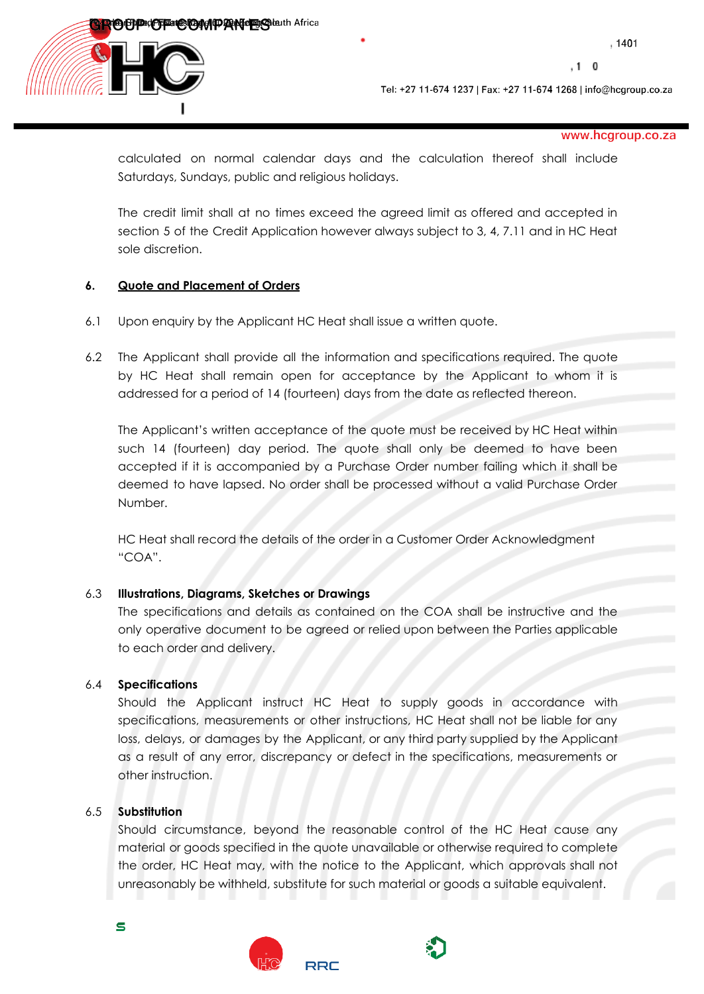

Tel: +27 11-674 1237 | Fax: +27 11-674 1268 | info@hcgroup.co.za

www.hcgroup.co.za

, 1401

 $.1 \quad 0$ 

calculated on normal calendar days and the calculation thereof shall include Saturdays, Sundays, public and religious holidays.

The credit limit shall at no times exceed the agreed limit as offered and accepted in section 5 of the Credit Application however always subject to 3, 4, 7.11 and in HC Heat sole discretion.

### **6. Quote and Placement of Orders**

- 6.1 Upon enquiry by the Applicant HC Heat shall issue a written quote.
- 6.2 The Applicant shall provide all the information and specifications required. The quote by HC Heat shall remain open for acceptance by the Applicant to whom it is addressed for a period of 14 (fourteen) days from the date as reflected thereon.

The Applicant's written acceptance of the quote must be received by HC Heat within such 14 (fourteen) day period. The quote shall only be deemed to have been accepted if it is accompanied by a Purchase Order number failing which it shall be deemed to have lapsed. No order shall be processed without a valid Purchase Order Number.

HC Heat shall record the details of the order in a Customer Order Acknowledgment "COA".

# 6.3 **Illustrations, Diagrams, Sketches or Drawings**

The specifications and details as contained on the COA shall be instructive and the only operative document to be agreed or relied upon between the Parties applicable to each order and delivery.

### 6.4 **Specifications**

Should the Applicant instruct HC Heat to supply goods in accordance with specifications, measurements or other instructions, HC Heat shall not be liable for any loss, delays, or damages by the Applicant, or any third party supplied by the Applicant as a result of any error, discrepancy or defect in the specifications, measurements or other instruction.

### 6.5 **Substitution**

Should circumstance, beyond the reasonable control of the HC Heat cause any material or goods specified in the quote unavailable or otherwise required to complete the order, HC Heat may, with the notice to the Applicant, which approvals shall not unreasonably be withheld, substitute for such material or goods a suitable equivalent.





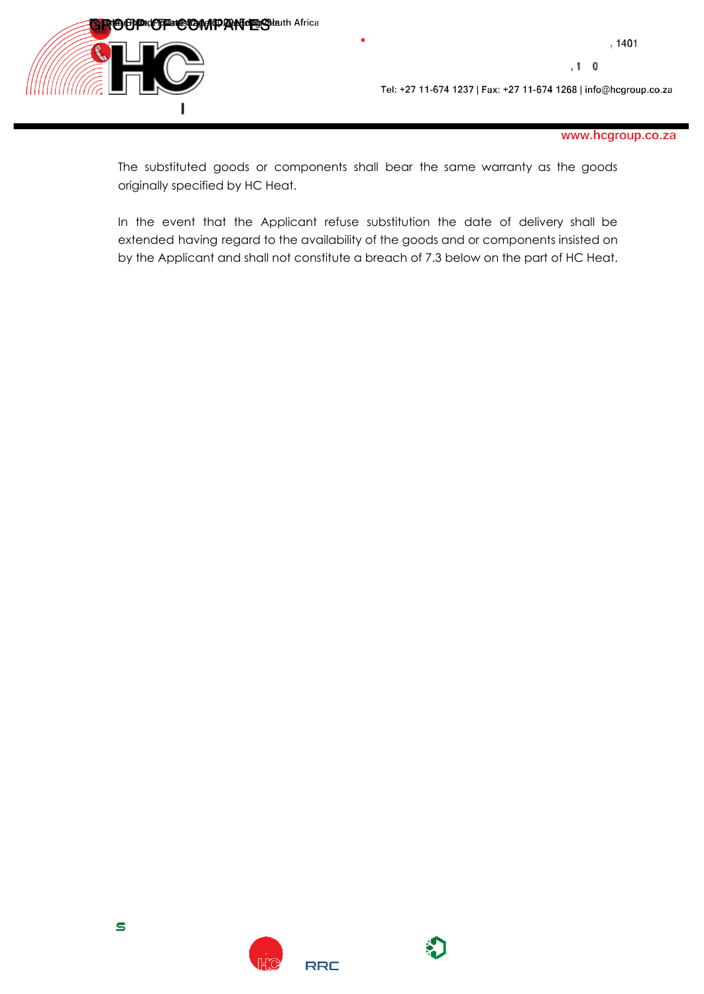

The substituted goods or components shall bear the same warranty as the goods originally specified by HC Heat.

In the event that the Applicant refuse substitution the date of delivery shall be extended having regard to the availability of the goods and or components insisted on by the Applicant and shall not constitute a breach of 7.3 below on the part of HC Heat.



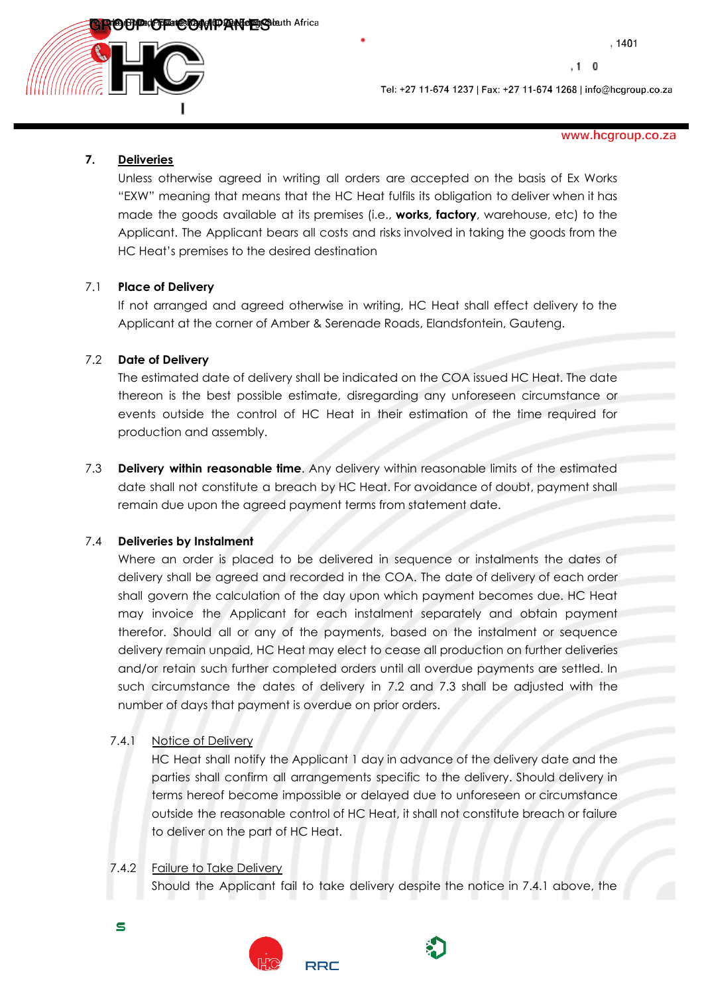**@@@@@@@@@@@@@@**@@@@@uth Africa



Tel: +27 11-674 1237 | Fax: +27 11-674 1268 | info@hcgroup.co.za

www.hcgroup.co.za

# **7. Deliveries**

Unless otherwise agreed in writing all orders are accepted on the basis of Ex Works "EXW" meaning that means that the HC Heat fulfils its obligation to deliver when it has made the goods available at its premises (i.e., **works, factory**, warehouse, etc) to the Applicant. The Applicant bears all costs and risks involved in taking the goods from the HC Heat's premises to the desired destination

# 7.1 **Place of Delivery**

If not arranged and agreed otherwise in writing, HC Heat shall effect delivery to the Applicant at the corner of Amber & Serenade Roads, Elandsfontein, Gauteng.

# 7.2 **Date of Delivery**

The estimated date of delivery shall be indicated on the COA issued HC Heat. The date thereon is the best possible estimate, disregarding any unforeseen circumstance or events outside the control of HC Heat in their estimation of the time required for production and assembly.

7.3 **Delivery within reasonable time**. Any delivery within reasonable limits of the estimated date shall not constitute a breach by HC Heat. For avoidance of doubt, payment shall remain due upon the agreed payment terms from statement date.

# 7.4 **Deliveries by Instalment**

Where an order is placed to be delivered in sequence or instalments the dates of delivery shall be agreed and recorded in the COA. The date of delivery of each order shall govern the calculation of the day upon which payment becomes due. HC Heat may invoice the Applicant for each instalment separately and obtain payment therefor. Should all or any of the payments, based on the instalment or sequence delivery remain unpaid, HC Heat may elect to cease all production on further deliveries and/or retain such further completed orders until all overdue payments are settled. In such circumstance the dates of delivery in 7.2 and 7.3 shall be adjusted with the number of days that payment is overdue on prior orders.

# 7.4.1 Notice of Delivery

HC Heat shall notify the Applicant 1 day in advance of the delivery date and the parties shall confirm all arrangements specific to the delivery. Should delivery in terms hereof become impossible or delayed due to unforeseen or circumstance outside the reasonable control of HC Heat, it shall not constitute breach or failure to deliver on the part of HC Heat.

# 7.4.2 Failure to Take Delivery

 $\mathbf{s}$ 

Should the Applicant fail to take delivery despite the notice in 7.4.1 above, the



**RRC** 

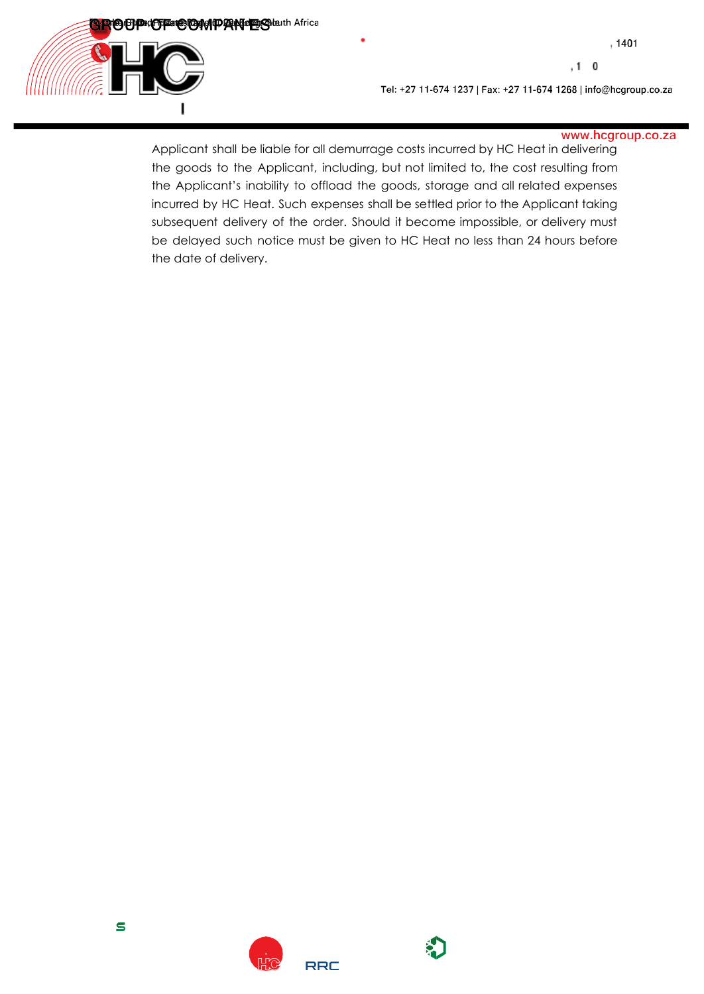**@@BIPExOFFE#@@QQQQP@@@@@@@EQG@@ED{\Africa** 



Tel: +27 11-674 1237 | Fax: +27 11-674 1268 | info@hcgroup.co.za

### www.hcgroup.co.za

, 1401

 $, 1 \quad 0$ 

Applicant shall be liable for all demurrage costs incurred by HC Heat in delivering the goods to the Applicant, including, but not limited to, the cost resulting from the Applicant's inability to offload the goods, storage and all related expenses incurred by HC Heat. Such expenses shall be settled prior to the Applicant taking subsequent delivery of the order. Should it become impossible, or delivery must be delayed such notice must be given to HC Heat no less than 24 hours before the date of delivery.



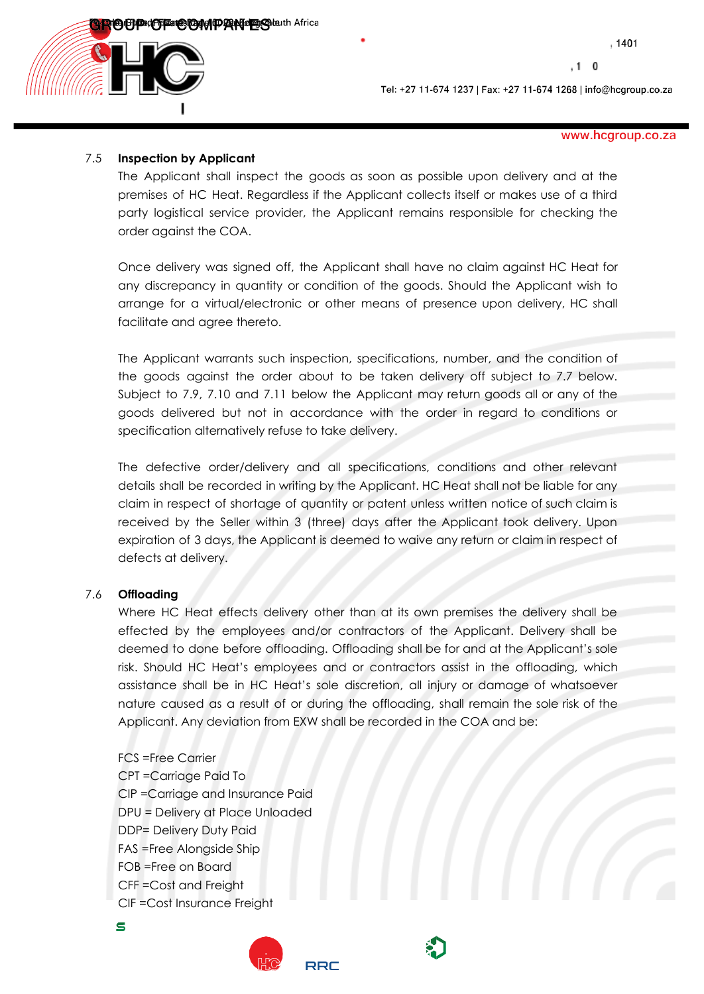

Tel: +27 11-674 1237 | Fax: +27 11-674 1268 | info@hcgroup.co.za

www.hcgroup.co.za

, 1401

 $.1 \quad 0$ 

# 7.5 **Inspection by Applicant**

The Applicant shall inspect the goods as soon as possible upon delivery and at the premises of HC Heat. Regardless if the Applicant collects itself or makes use of a third party logistical service provider, the Applicant remains responsible for checking the order against the COA.

Once delivery was signed off, the Applicant shall have no claim against HC Heat for any discrepancy in quantity or condition of the goods. Should the Applicant wish to arrange for a virtual/electronic or other means of presence upon delivery, HC shall facilitate and agree thereto.

The Applicant warrants such inspection, specifications, number, and the condition of the goods against the order about to be taken delivery off subject to 7.7 below. Subject to 7.9, 7.10 and 7.11 below the Applicant may return goods all or any of the goods delivered but not in accordance with the order in regard to conditions or specification alternatively refuse to take delivery.

The defective order/delivery and all specifications, conditions and other relevant details shall be recorded in writing by the Applicant. HC Heat shall not be liable for any claim in respect of shortage of quantity or patent unless written notice of such claim is received by the Seller within 3 (three) days after the Applicant took delivery. Upon expiration of 3 days, the Applicant is deemed to waive any return or claim in respect of defects at delivery.

### 7.6 **Offloading**

Where HC Heat effects delivery other than at its own premises the delivery shall be effected by the employees and/or contractors of the Applicant. Delivery shall be deemed to done before offloading. Offloading shall be for and at the Applicant's sole risk. Should HC Heat's employees and or contractors assist in the offloading, which assistance shall be in HC Heat's sole discretion, all injury or damage of whatsoever nature caused as a result of or during the offloading, shall remain the sole risk of the Applicant. Any deviation from EXW shall be recorded in the COA and be:

FCS =Free Carrier CPT =Carriage Paid To CIP =Carriage and Insurance Paid DPU = Delivery at Place Unloaded DDP= Delivery Duty Paid FAS =Free Alongside Ship FOB =Free on Board CFF =Cost and Freight CIF =Cost Insurance Freight





**RRC** 

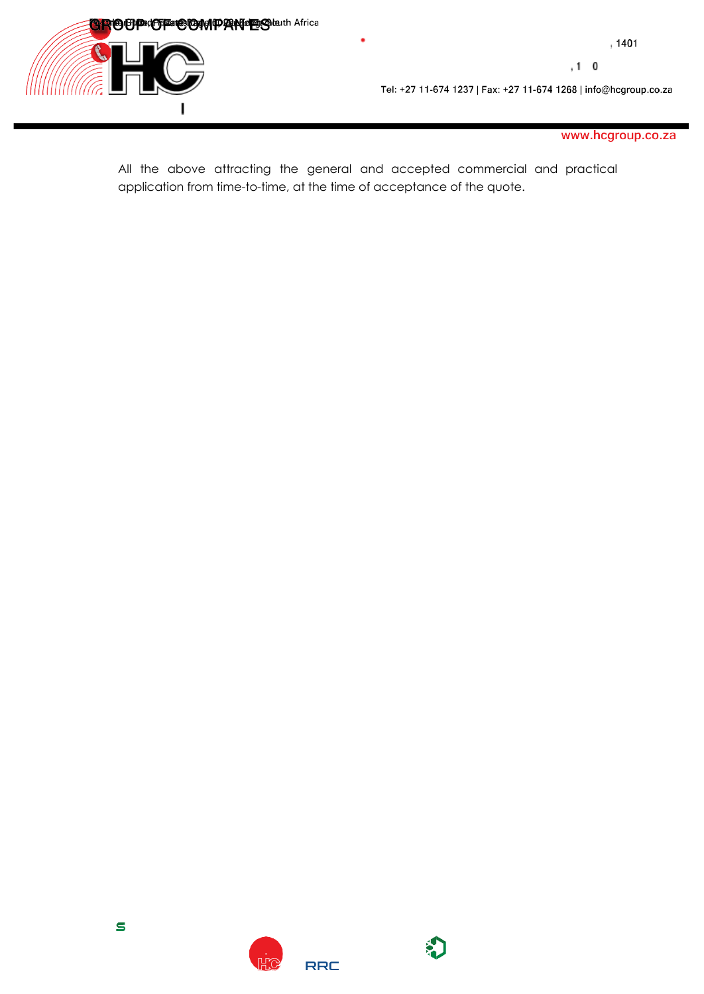

All the above attracting the general and accepted commercial and practical application from time-to-time, at the time of acceptance of the quote.



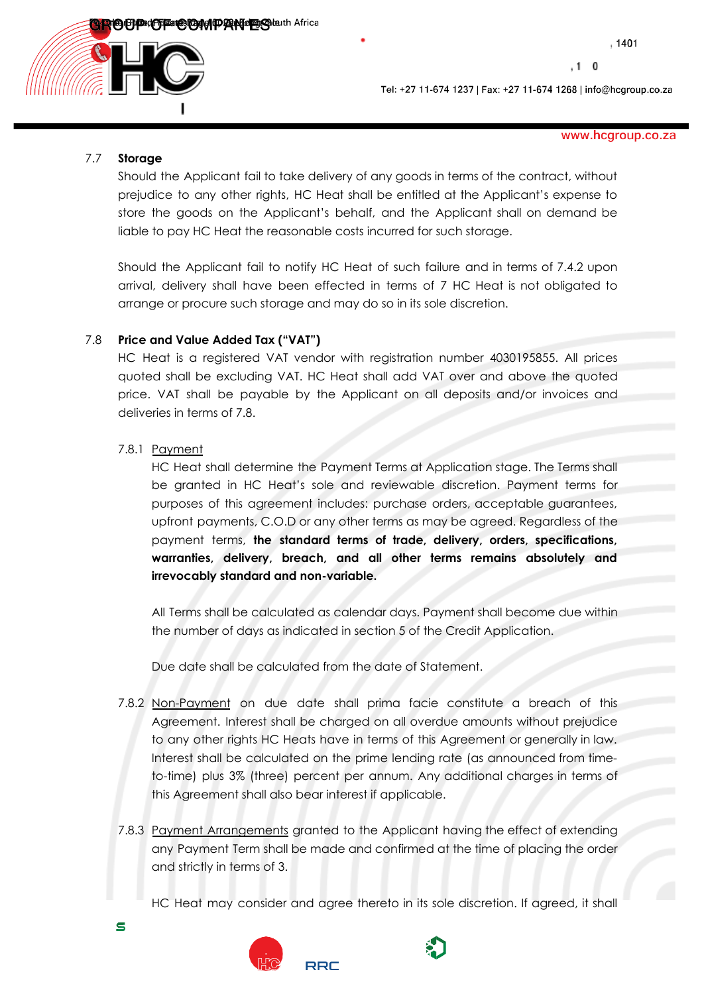

Tel: +27 11-674 1237 | Fax: +27 11-674 1268 | info@hcgroup.co.za

www.hcgroup.co.za

, 1401

 $.1 \quad 0$ 

# 7.7 **Storage**

Should the Applicant fail to take delivery of any goods in terms of the contract, without prejudice to any other rights, HC Heat shall be entitled at the Applicant's expense to store the goods on the Applicant's behalf, and the Applicant shall on demand be liable to pay HC Heat the reasonable costs incurred for such storage.

Should the Applicant fail to notify HC Heat of such failure and in terms of 7.4.2 upon arrival, delivery shall have been effected in terms of 7 HC Heat is not obligated to arrange or procure such storage and may do so in its sole discretion.

### 7.8 **Price and Value Added Tax ("VAT")**

HC Heat is a registered VAT vendor with registration number 4030195855. All prices quoted shall be excluding VAT. HC Heat shall add VAT over and above the quoted price. VAT shall be payable by the Applicant on all deposits and/or invoices and deliveries in terms of 7.8.

### 7.8.1 Payment

HC Heat shall determine the Payment Terms at Application stage. The Terms shall be granted in HC Heat's sole and reviewable discretion. Payment terms for purposes of this agreement includes: purchase orders, acceptable guarantees, upfront payments, C.O.D or any other terms as may be agreed. Regardless of the payment terms, **the standard terms of trade, delivery, orders, specifications, warranties, delivery, breach, and all other terms remains absolutely and irrevocably standard and non-variable.**

All Terms shall be calculated as calendar days. Payment shall become due within the number of days as indicated in section 5 of the Credit Application.

Due date shall be calculated from the date of Statement.

**RRC** 

- 7.8.2 Non-Payment on due date shall prima facie constitute a breach of this Agreement. Interest shall be charged on all overdue amounts without prejudice to any other rights HC Heats have in terms of this Agreement or generally in law. Interest shall be calculated on the prime lending rate (as announced from timeto-time) plus 3% (three) percent per annum. Any additional charges in terms of this Agreement shall also bear interest if applicable.
- 7.8.3 Payment Arrangements granted to the Applicant having the effect of extending any Payment Term shall be made and confirmed at the time of placing the order and strictly in terms of 3.

HC Heat may consider and agree thereto in its sole discretion. If agreed, it shall



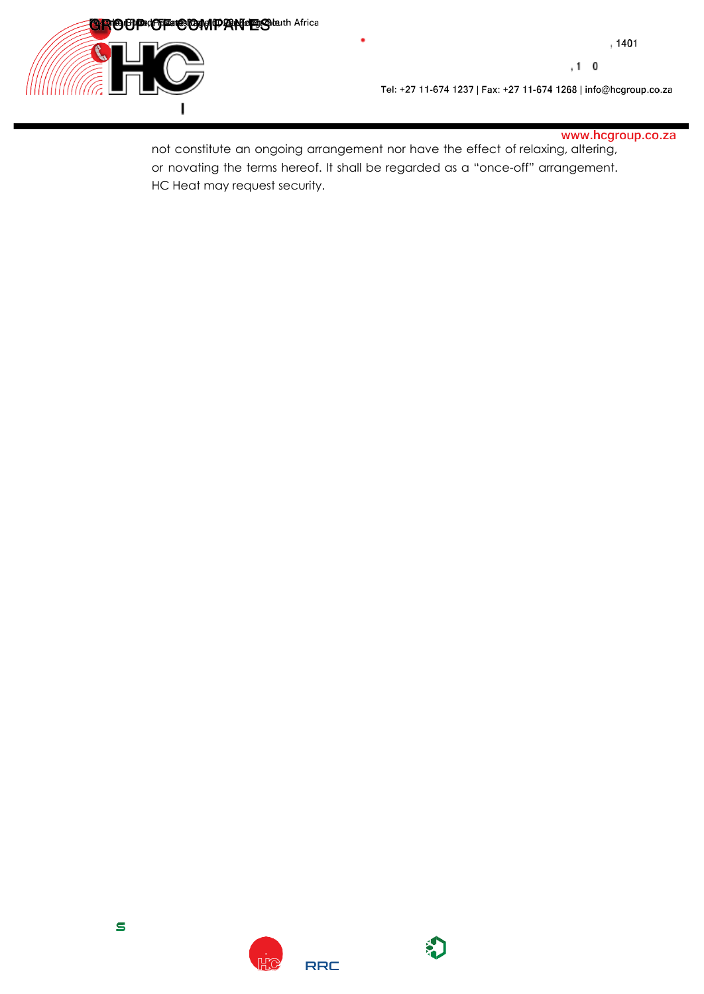

not constitute an ongoing arrangement nor have the effect of relaxing, altering, or novating the terms hereof. It shall be regarded as a "once-off" arrangement. HC Heat may request security.



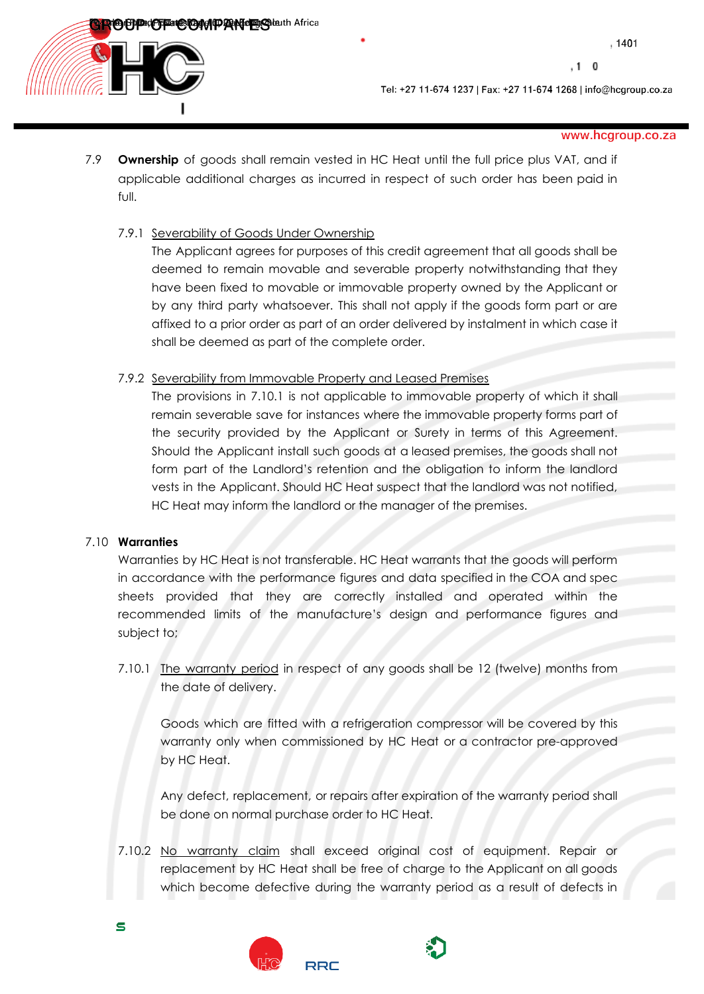

Tel: +27 11-674 1237 | Fax: +27 11-674 1268 | info@hcgroup.co.za

#### www.hcgroup.co.za

, 1401

 $, 1 \quad 0$ 

7.9 **Ownership** of goods shall remain vested in HC Heat until the full price plus VAT, and if applicable additional charges as incurred in respect of such order has been paid in full.

# 7.9.1 Severability of Goods Under Ownership

The Applicant agrees for purposes of this credit agreement that all goods shall be deemed to remain movable and severable property notwithstanding that they have been fixed to movable or immovable property owned by the Applicant or by any third party whatsoever. This shall not apply if the goods form part or are affixed to a prior order as part of an order delivered by instalment in which case it shall be deemed as part of the complete order.

### 7.9.2 Severability from Immovable Property and Leased Premises

The provisions in 7.10.1 is not applicable to immovable property of which it shall remain severable save for instances where the immovable property forms part of the security provided by the Applicant or Surety in terms of this Agreement. Should the Applicant install such goods at a leased premises, the goods shall not form part of the Landlord's retention and the obligation to inform the landlord vests in the Applicant. Should HC Heat suspect that the landlord was not notified, HC Heat may inform the landlord or the manager of the premises.

### 7.10 **Warranties**

Warranties by HC Heat is not transferable. HC Heat warrants that the goods will perform in accordance with the performance figures and data specified in the COA and spec sheets provided that they are correctly installed and operated within the recommended limits of the manufacture's design and performance figures and subject to;

7.10.1 The warranty period in respect of any goods shall be 12 (twelve) months from the date of delivery.

Goods which are fitted with a refrigeration compressor will be covered by this warranty only when commissioned by HC Heat or a contractor pre-approved by HC Heat.

Any defect, replacement, or repairs after expiration of the warranty period shall be done on normal purchase order to HC Heat.

7.10.2 No warranty claim shall exceed original cost of equipment. Repair or replacement by HC Heat shall be free of charge to the Applicant on all goods which become defective during the warranty period as a result of defects in



**RRC** 

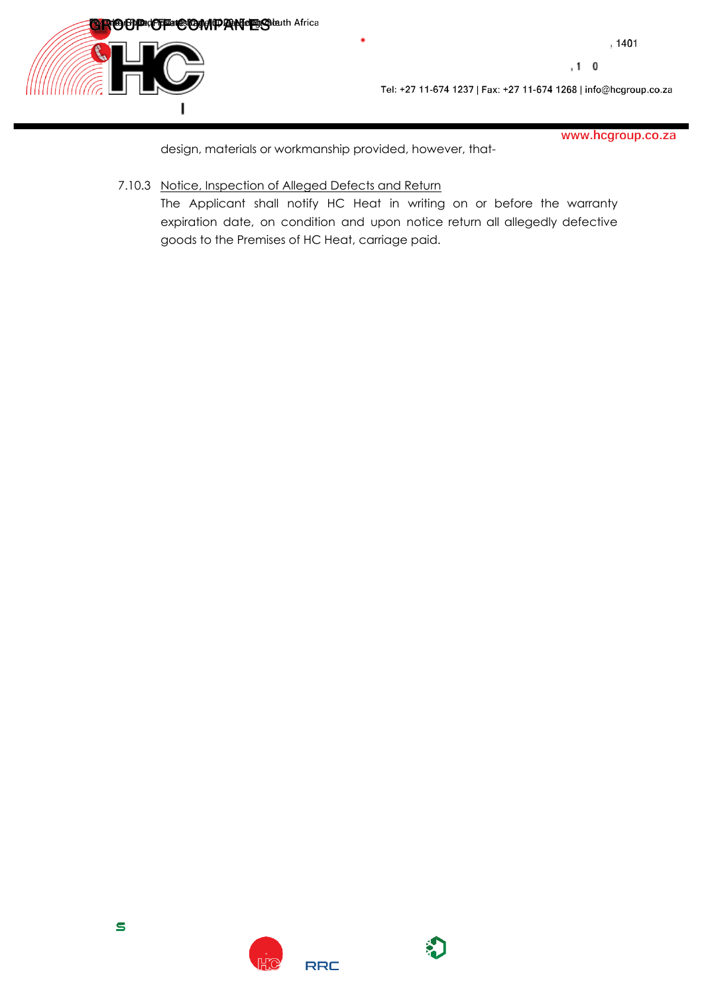

design, materials or workmanship provided, however, that-

7.10.3 Notice, Inspection of Alleged Defects and Return

The Applicant shall notify HC Heat in writing on or before the warranty expiration date, on condition and upon notice return all allegedly defective goods to the Premises of HC Heat, carriage paid.



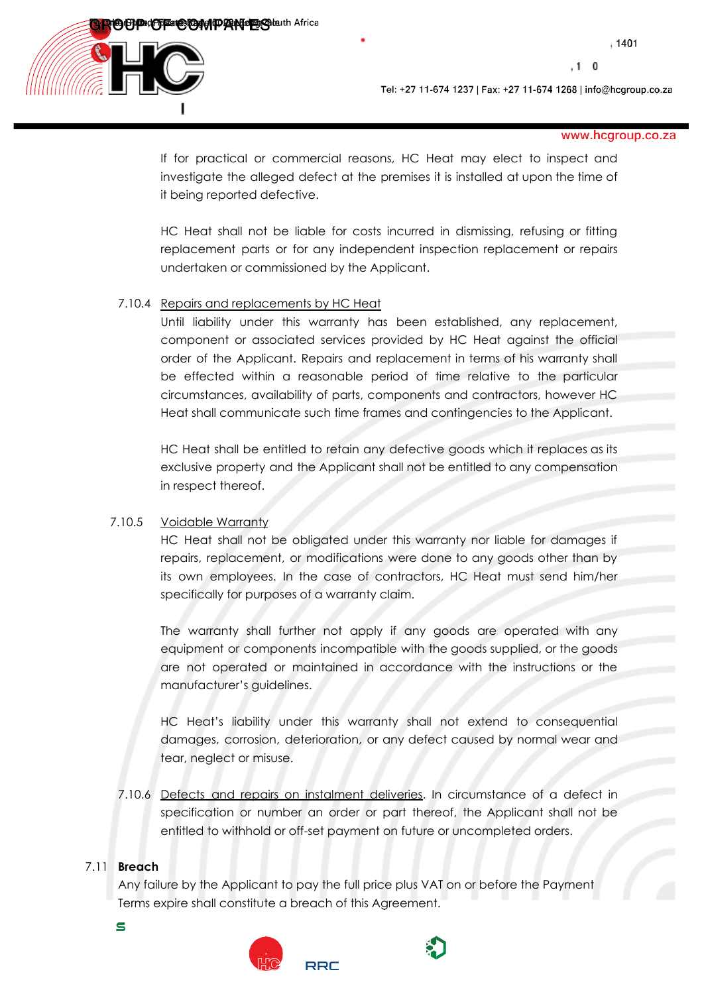**@@@@@@@@@@@@@@**@@@@@uth Africa



Tel: +27 11-674 1237 | Fax: +27 11-674 1268 | info@hcgroup.co.za

#### www.hcgroup.co.za

If for practical or commercial reasons, HC Heat may elect to inspect and investigate the alleged defect at the premises it is installed at upon the time of it being reported defective.

HC Heat shall not be liable for costs incurred in dismissing, refusing or fitting replacement parts or for any independent inspection replacement or repairs undertaken or commissioned by the Applicant.

### 7.10.4 Repairs and replacements by HC Heat

Until liability under this warranty has been established, any replacement, component or associated services provided by HC Heat against the official order of the Applicant. Repairs and replacement in terms of his warranty shall be effected within a reasonable period of time relative to the particular circumstances, availability of parts, components and contractors, however HC Heat shall communicate such time frames and contingencies to the Applicant.

HC Heat shall be entitled to retain any defective goods which it replaces as its exclusive property and the Applicant shall not be entitled to any compensation in respect thereof.

#### 7.10.5 Voidable Warranty

HC Heat shall not be obligated under this warranty nor liable for damages if repairs, replacement, or modifications were done to any goods other than by its own employees. In the case of contractors, HC Heat must send him/her specifically for purposes of a warranty claim.

The warranty shall further not apply if any goods are operated with any equipment or components incompatible with the goods supplied, or the goods are not operated or maintained in accordance with the instructions or the manufacturer's guidelines.

HC Heat's liability under this warranty shall not extend to consequential damages, corrosion, deterioration, or any defect caused by normal wear and tear, neglect or misuse.

7.10.6 Defects and repairs on instalment deliveries. In circumstance of a defect in specification or number an order or part thereof, the Applicant shall not be entitled to withhold or off-set payment on future or uncompleted orders.

#### 7.11 **Breach**

Any failure by the Applicant to pay the full price plus VAT on or before the Payment Terms expire shall constitute a breach of this Agreement.

**RRC** 

S

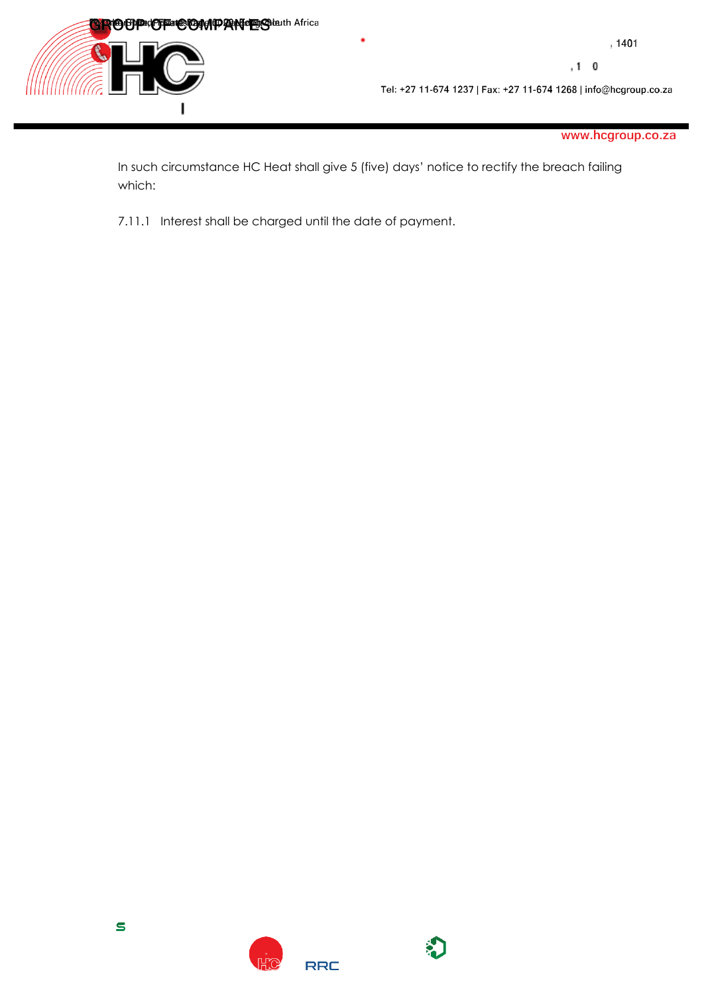

In such circumstance HC Heat shall give 5 (five) days' notice to rectify the breach failing which:

7.11.1 Interest shall be charged until the date of payment.



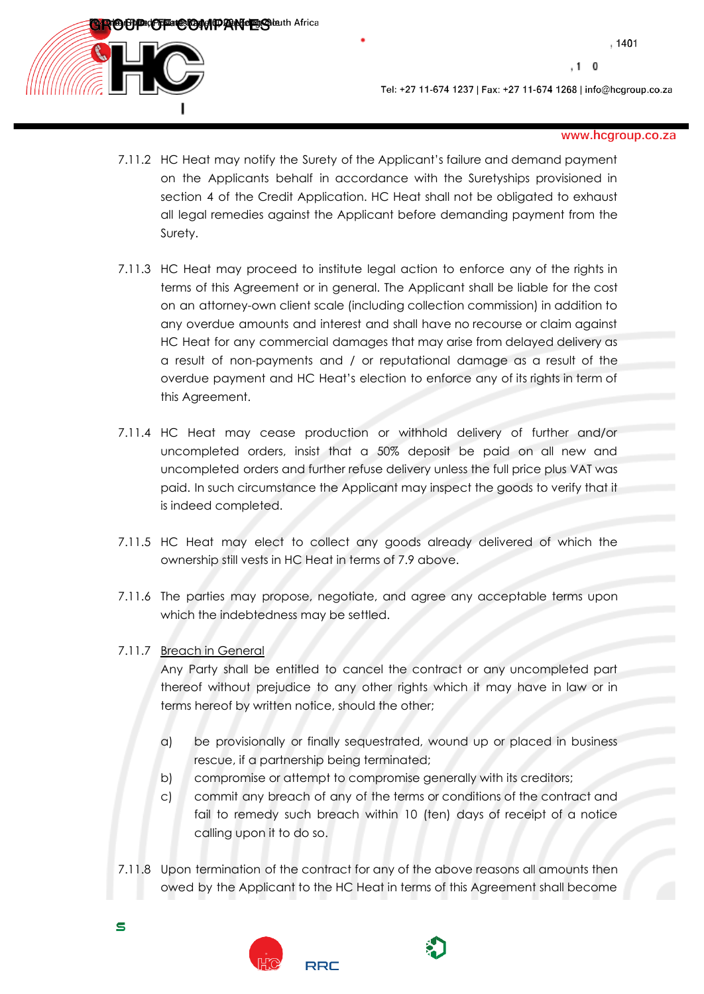

Tel: +27 11-674 1237 | Fax: +27 11-674 1268 | info@hcgroup.co.za

#### www.hcgroup.co.za

, 1401

 $, 1 \quad 0$ 

- 7.11.2 HC Heat may notify the Surety of the Applicant's failure and demand payment on the Applicants behalf in accordance with the Suretyships provisioned in section 4 of the Credit Application. HC Heat shall not be obligated to exhaust all legal remedies against the Applicant before demanding payment from the Surety.
- 7.11.3 HC Heat may proceed to institute legal action to enforce any of the rights in terms of this Agreement or in general. The Applicant shall be liable for the cost on an attorney-own client scale (including collection commission) in addition to any overdue amounts and interest and shall have no recourse or claim against HC Heat for any commercial damages that may arise from delayed delivery as a result of non-payments and / or reputational damage as a result of the overdue payment and HC Heat's election to enforce any of its rights in term of this Agreement.
- 7.11.4 HC Heat may cease production or withhold delivery of further and/or uncompleted orders, insist that a 50% deposit be paid on all new and uncompleted orders and further refuse delivery unless the full price plus VAT was paid. In such circumstance the Applicant may inspect the goods to verify that it is indeed completed.
- 7.11.5 HC Heat may elect to collect any goods already delivered of which the ownership still vests in HC Heat in terms of 7.9 above.
- 7.11.6 The parties may propose, negotiate, and agree any acceptable terms upon which the indebtedness may be settled.

### 7.11.7 Breach in General

Any Party shall be entitled to cancel the contract or any uncompleted part thereof without prejudice to any other rights which it may have in law or in terms hereof by written notice, should the other;

- a) be provisionally or finally sequestrated, wound up or placed in business rescue, if a partnership being terminated;
- b) compromise or attempt to compromise generally with its creditors;
- c) commit any breach of any of the terms or conditions of the contract and fail to remedy such breach within 10 (ten) days of receipt of a notice calling upon it to do so.
- 7.11.8 Upon termination of the contract for any of the above reasons all amounts then owed by the Applicant to the HC Heat in terms of this Agreement shall become

**RRC** 





S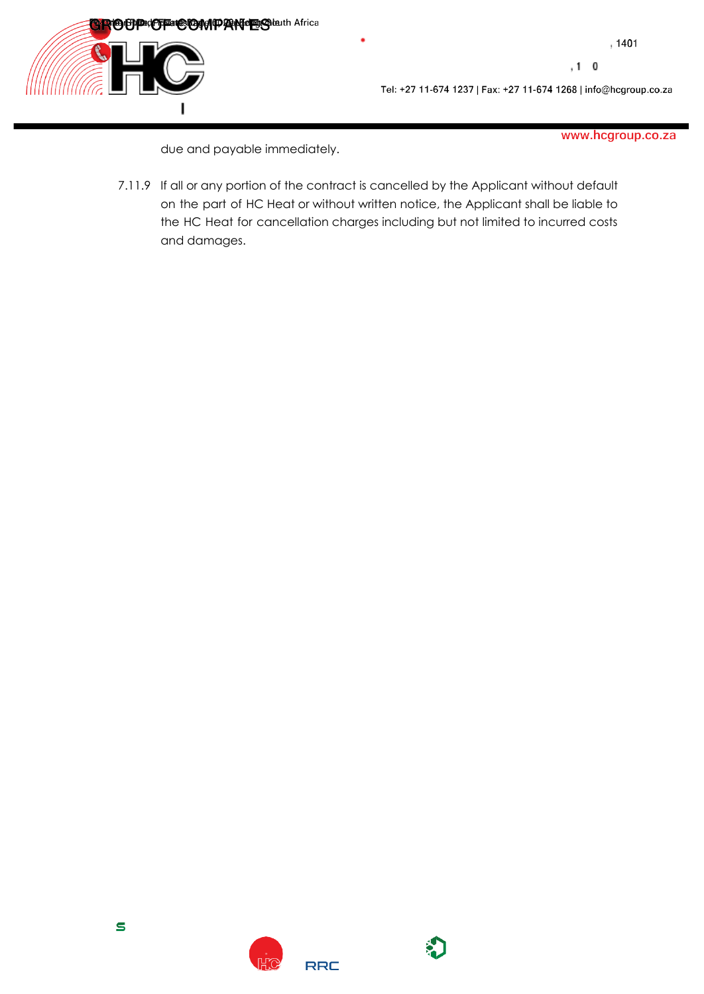

due and payable immediately.

7.11.9 If all or any portion of the contract is cancelled by the Applicant without default on the part of HC Heat or without written notice, the Applicant shall be liable to the HC Heat for cancellation charges including but not limited to incurred costs and damages.



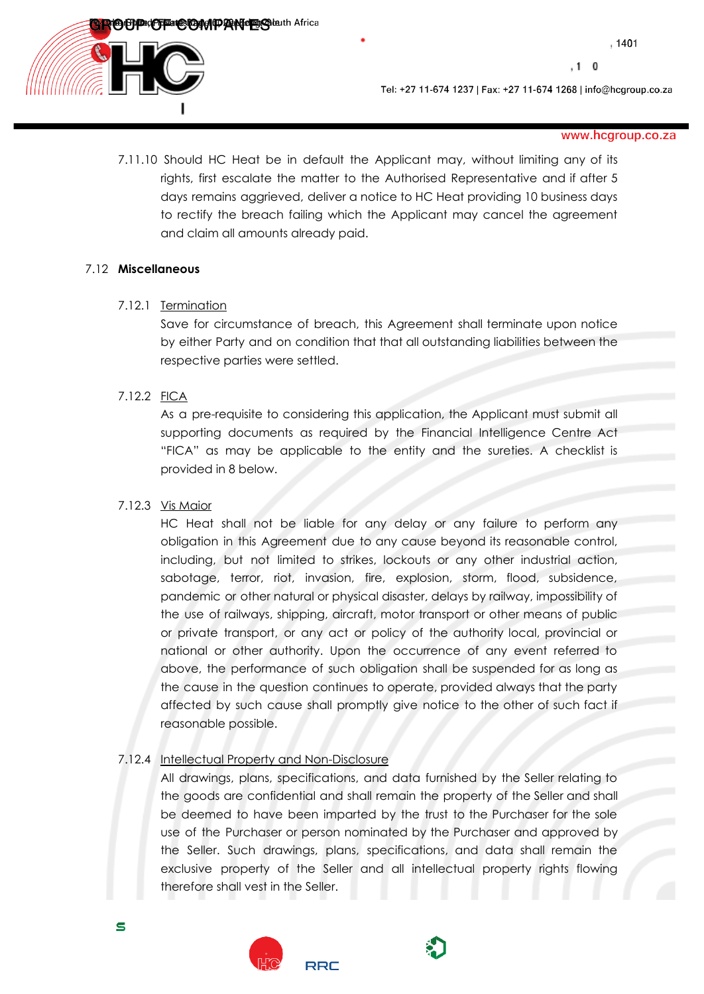

Tel: +27 11-674 1237 | Fax: +27 11-674 1268 | info@hcgroup.co.za

#### www.hcgroup.co.za

, 1401

 $.1 \quad 0$ 

7.11.10 Should HC Heat be in default the Applicant may, without limiting any of its rights, first escalate the matter to the Authorised Representative and if after 5 days remains aggrieved, deliver a notice to HC Heat providing 10 business days to rectify the breach failing which the Applicant may cancel the agreement and claim all amounts already paid.

#### 7.12 **Miscellaneous**

7.12.1 Termination

Save for circumstance of breach, this Agreement shall terminate upon notice by either Party and on condition that that all outstanding liabilities between the respective parties were settled.

### 7.12.2 FICA

As a pre-requisite to considering this application, the Applicant must submit all supporting documents as required by the Financial Intelligence Centre Act "FICA" as may be applicable to the entity and the sureties. A checklist is provided in 8 below.

#### 7.12.3 Vis Maior

HC Heat shall not be liable for any delay or any failure to perform any obligation in this Agreement due to any cause beyond its reasonable control, including, but not limited to strikes, lockouts or any other industrial action, sabotage, terror, riot, invasion, fire, explosion, storm, flood, subsidence, pandemic or other natural or physical disaster, delays by railway, impossibility of the use of railways, shipping, aircraft, motor transport or other means of public or private transport, or any act or policy of the authority local, provincial or national or other authority. Upon the occurrence of any event referred to above, the performance of such obligation shall be suspended for as long as the cause in the question continues to operate, provided always that the party affected by such cause shall promptly give notice to the other of such fact if reasonable possible.

### 7.12.4 Intellectual Property and Non-Disclosure

All drawings, plans, specifications, and data furnished by the Seller relating to the goods are confidential and shall remain the property of the Seller and shall be deemed to have been imparted by the trust to the Purchaser for the sole use of the Purchaser or person nominated by the Purchaser and approved by the Seller. Such drawings, plans, specifications, and data shall remain the exclusive property of the Seller and all intellectual property rights flowing therefore shall vest in the Seller.



**RRC** 

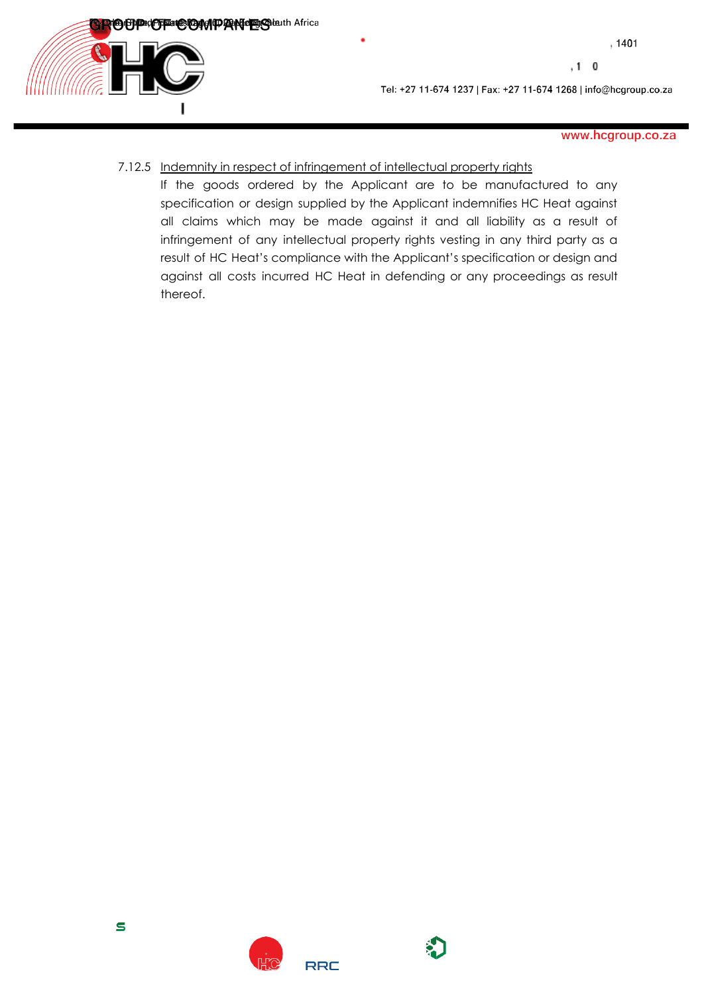

Tel: +27 11-674 1237 | Fax: +27 11-674 1268 | info@hcgroup.co.za

www.hcgroup.co.za

, 1401

 $, 1 \quad 0$ 

# 7.12.5 Indemnity in respect of infringement of intellectual property rights

If the goods ordered by the Applicant are to be manufactured to any specification or design supplied by the Applicant indemnifies HC Heat against all claims which may be made against it and all liability as a result of infringement of any intellectual property rights vesting in any third party as a result of HC Heat's compliance with the Applicant's specification or design and against all costs incurred HC Heat in defending or any proceedings as result thereof.



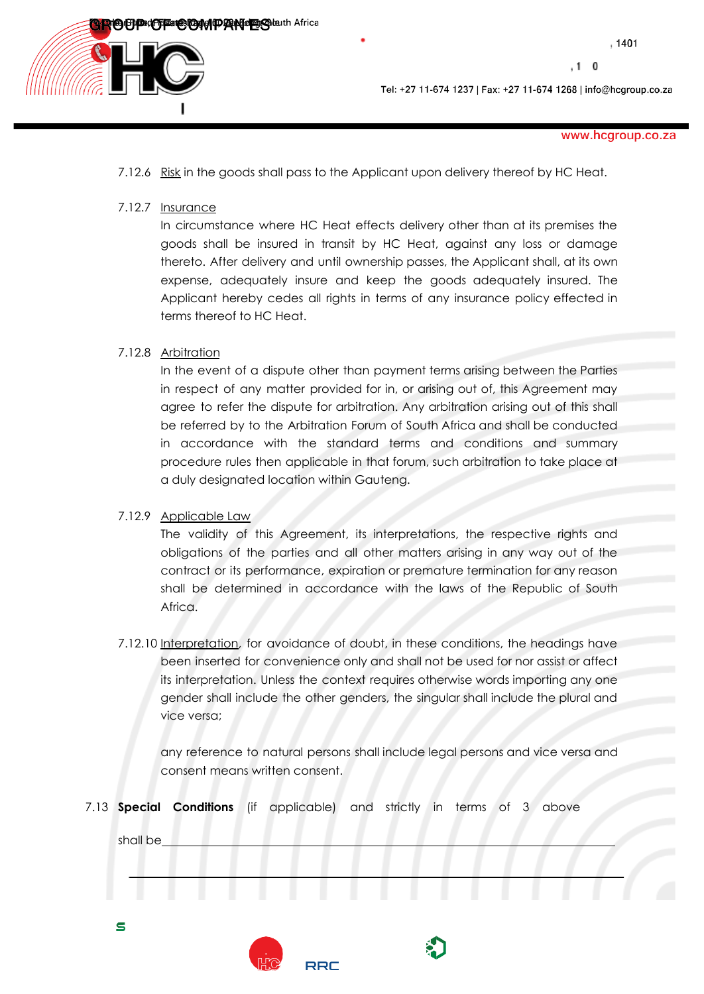

Tel: +27 11-674 1237 | Fax: +27 11-674 1268 | info@hcgroup.co.za

www.hcgroup.co.za

, 1401

 $.1 \quad 0$ 

- 7.12.6 Risk in the goods shall pass to the Applicant upon delivery thereof by HC Heat.
- 7.12.7 Insurance

In circumstance where HC Heat effects delivery other than at its premises the goods shall be insured in transit by HC Heat, against any loss or damage thereto. After delivery and until ownership passes, the Applicant shall, at its own expense, adequately insure and keep the goods adequately insured. The Applicant hereby cedes all rights in terms of any insurance policy effected in terms thereof to HC Heat.

### 7.12.8 Arbitration

In the event of a dispute other than payment terms arising between the Parties in respect of any matter provided for in, or arising out of, this Agreement may agree to refer the dispute for arbitration. Any arbitration arising out of this shall be referred by to the Arbitration Forum of South Africa and shall be conducted in accordance with the standard terms and conditions and summary procedure rules then applicable in that forum, such arbitration to take place at a duly designated location within Gauteng.

### 7.12.9 Applicable Law

The validity of this Agreement, its interpretations, the respective rights and obligations of the parties and all other matters arising in any way out of the contract or its performance, expiration or premature termination for any reason shall be determined in accordance with the laws of the Republic of South Africa.

7.12.10 Interpretation, for avoidance of doubt, in these conditions, the headings have been inserted for convenience only and shall not be used for nor assist or affect its interpretation. Unless the context requires otherwise words importing any one gender shall include the other genders, the singular shall include the plural and vice versa;

any reference to natural persons shall include legal persons and vice versa and consent means written consent.

7.13 **Special Conditions** (if applicable) and strictly in terms of 3 above

**RRC** 

shall be

 $\mathbf{s}$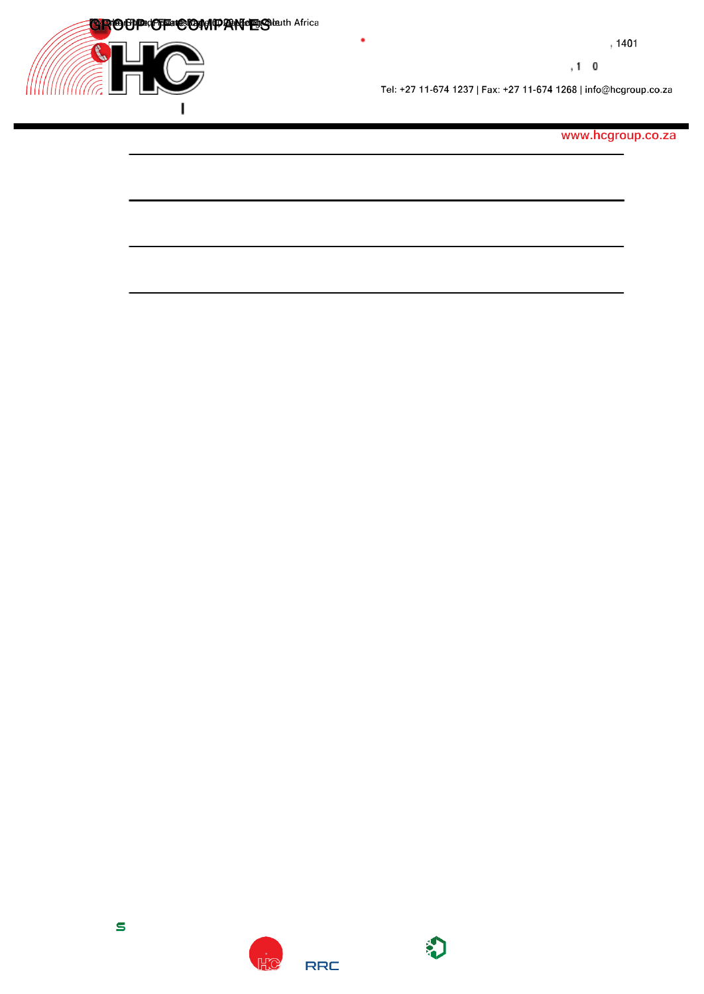

Tel: +27 11-674 1237 | Fax: +27 11-674 1268 | info@hcgroup.co.za

٠

www.hcgroup.co.za

, 1401



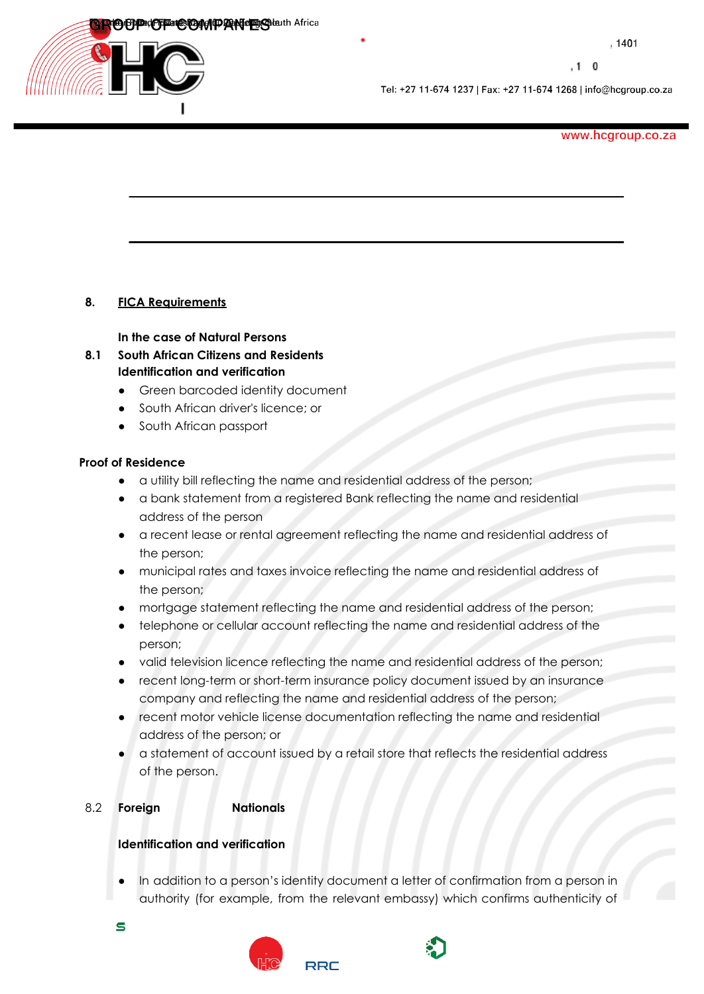

# Tel: +27 11-674 1237 | Fax: +27 11-674 1268 | info@hcgroup.co.za

www.hcgroup.co.za

# **8. FICA Requirements**

# **In the case of Natural Persons**

# **8.1 South African Citizens and Residents Identification and verification**

- Green barcoded identity document
- South African driver's licence; or
- South African passport

### **Proof of Residence**

- a utility bill reflecting the name and residential address of the person;
- a bank statement from a registered Bank reflecting the name and residential address of the person
- a recent lease or rental agreement reflecting the name and residential address of the person;
- municipal rates and taxes invoice reflecting the name and residential address of the person;
- mortgage statement reflecting the name and residential address of the person;
- telephone or cellular account reflecting the name and residential address of the person;
- valid television licence reflecting the name and residential address of the person;
- recent long-term or short-term insurance policy document issued by an insurance company and reflecting the name and residential address of the person;
- recent motor vehicle license documentation reflecting the name and residential address of the person; or
- a statement of account issued by a retail store that reflects the residential address of the person.

# 8.2 **Foreign Nationals**

### **Identification and verification**

In addition to a person's identity document a letter of confirmation from a person in authority (for example, from the relevant embassy) which confirms authenticity of

**RRC** 

 $\mathbf{s}$ 

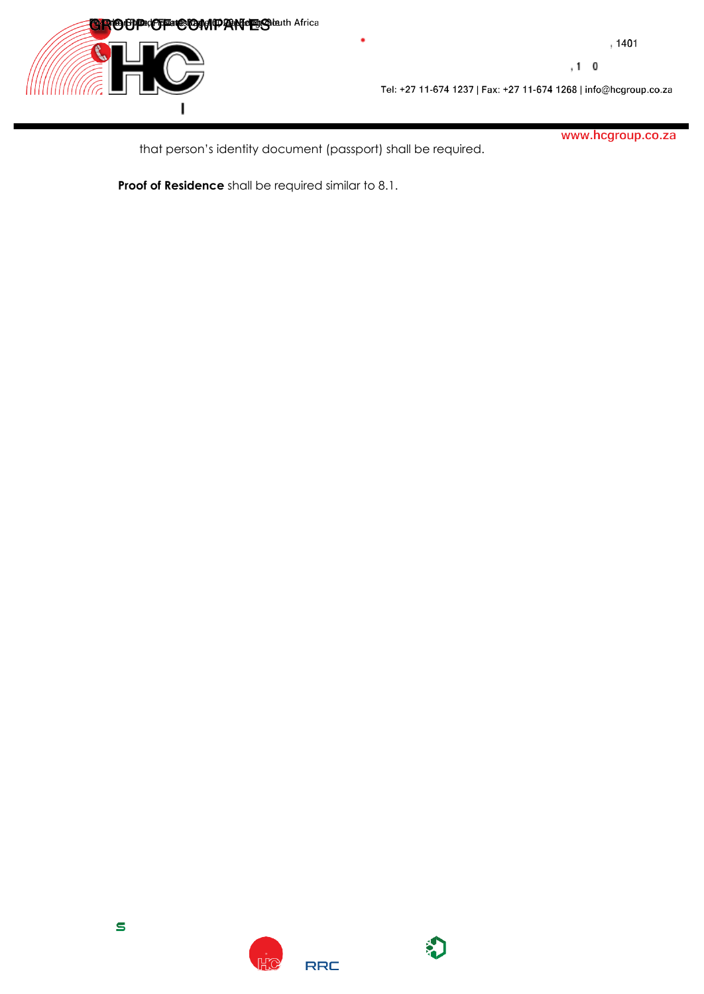

that person's identity document (passport) shall be required.

**Proof of Residence** shall be required similar to 8.1.



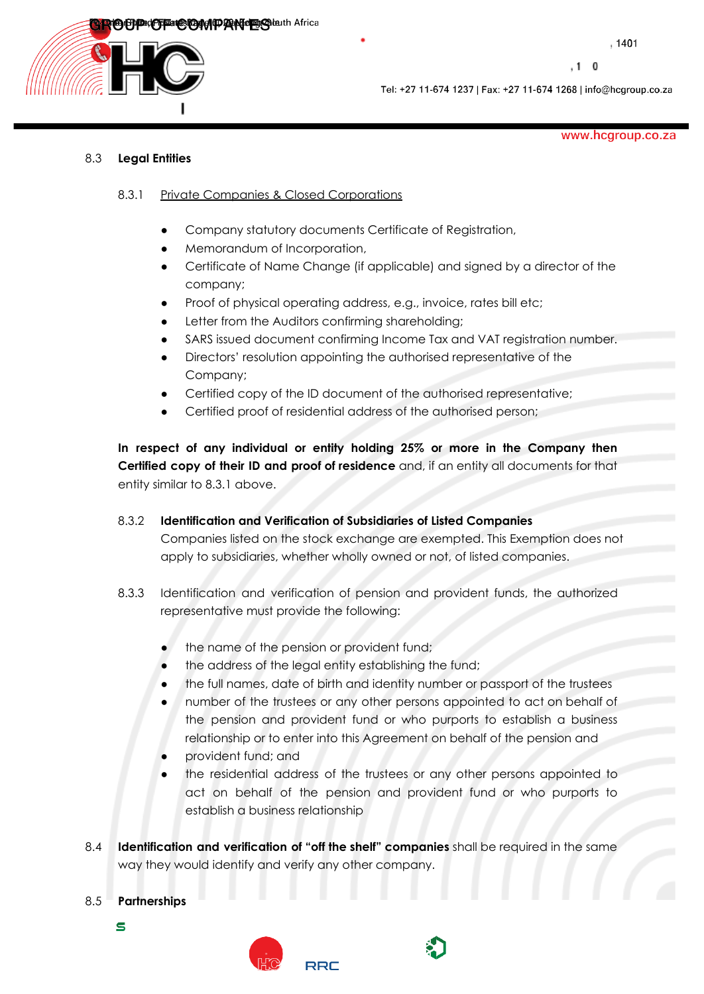

Tel: +27 11-674 1237 | Fax: +27 11-674 1268 | info@hcgroup.co.za

www.hcgroup.co.za

, 1401

 $.1 \quad 0$ 

### 8.3 **Legal Entities**

# 8.3.1 Private Companies & Closed Corporations

- Company statutory documents Certificate of Registration,
- Memorandum of Incorporation,
- Certificate of Name Change (if applicable) and signed by a director of the company;
- Proof of physical operating address, e.g., invoice, rates bill etc;
- Letter from the Auditors confirming shareholding;
- SARS issued document confirming Income Tax and VAT registration number.
- Directors' resolution appointing the authorised representative of the Company;
- Certified copy of the ID document of the authorised representative;
- Certified proof of residential address of the authorised person;

**In respect of any individual or entity holding 25% or more in the Company then Certified copy of their ID and proof of residence** and, if an entity all documents for that entity similar to 8.3.1 above.

- 8.3.2 **Identification and Verification of Subsidiaries of Listed Companies** Companies listed on the stock exchange are exempted. This Exemption does not apply to subsidiaries, whether wholly owned or not, of listed companies.
- 8.3.3 Identification and verification of pension and provident funds, the authorized representative must provide the following:
	- the name of the pension or provident fund;
	- the address of the legal entity establishing the fund;
	- the full names, date of birth and identity number or passport of the trustees
	- number of the trustees or any other persons appointed to act on behalf of the pension and provident fund or who purports to establish a business relationship or to enter into this Agreement on behalf of the pension and
	- provident fund; and
	- the residential address of the trustees or any other persons appointed to act on behalf of the pension and provident fund or who purports to establish a business relationship
- 8.4 **Identification and verification of "off the shelf" companies** shall be required in the same way they would identify and verify any other company.

### 8.5 **Partnerships**

 $\mathbf{s}$ 



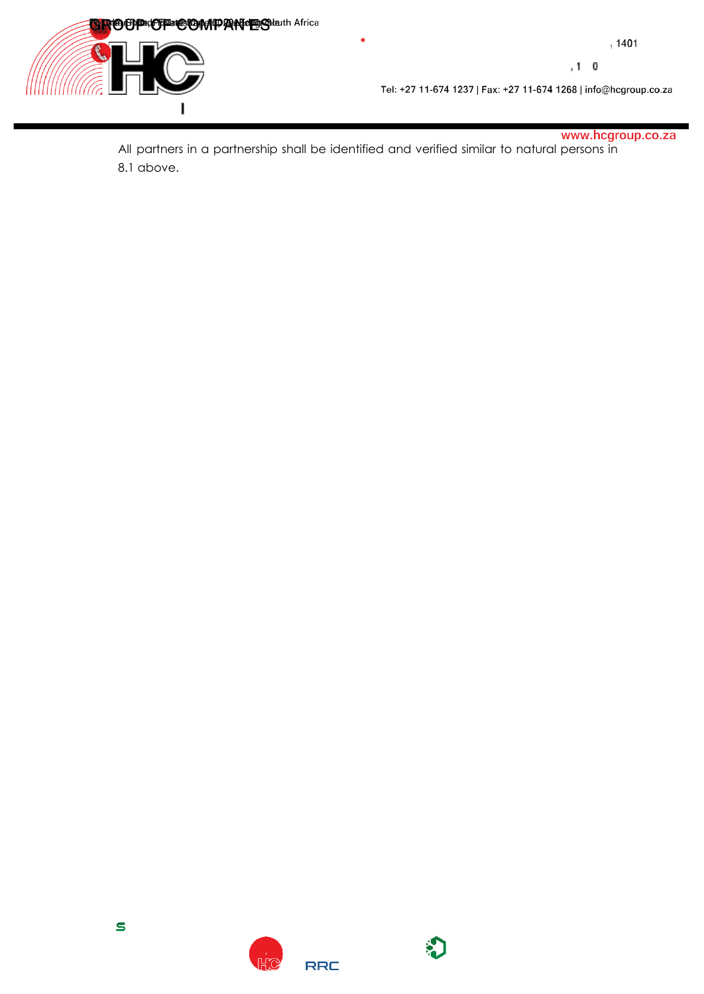

www.hcgroup.co.za All partners in a partnership shall be identified and verified similar to natural persons in 8.1 a b o v e.